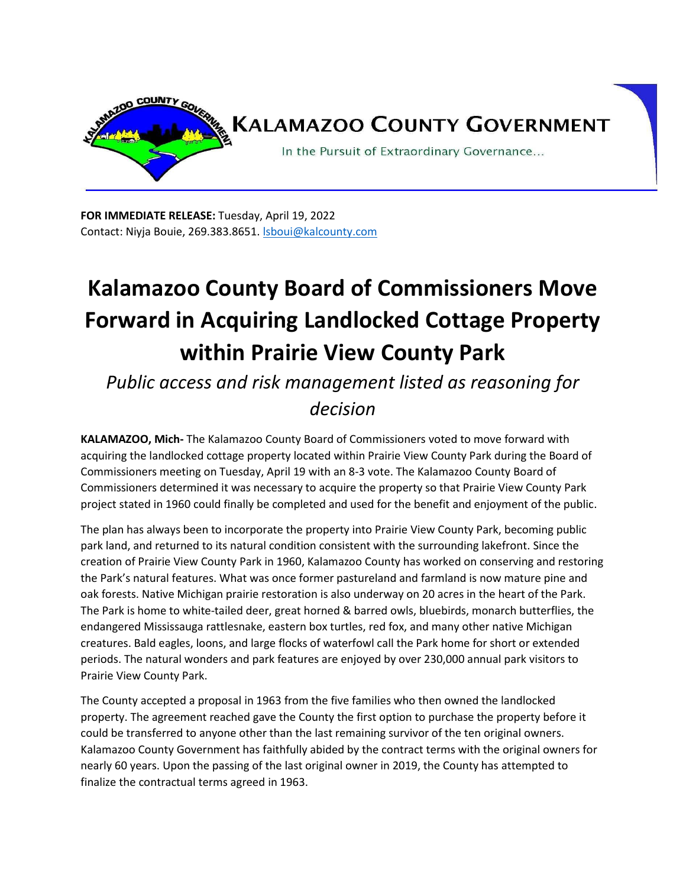

**FOR IMMEDIATE RELEASE:** Tuesday, April 19, 2022 Contact: Niyja Bouie, 269.383.8651. Sboui@kalcounty.com

## **Kalamazoo County Board of Commissioners Move Forward in Acquiring Landlocked Cottage Property within Prairie View County Park**

*Public access and risk management listed as reasoning for decision* 

**KALAMAZOO, Mich-** The Kalamazoo County Board of Commissioners voted to move forward with acquiring the landlocked cottage property located within Prairie View County Park during the Board of Commissioners meeting on Tuesday, April 19 with an 8-3 vote. The Kalamazoo County Board of Commissioners determined it was necessary to acquire the property so that Prairie View County Park project stated in 1960 could finally be completed and used for the benefit and enjoyment of the public.

The plan has always been to incorporate the property into Prairie View County Park, becoming public park land, and returned to its natural condition consistent with the surrounding lakefront. Since the creation of Prairie View County Park in 1960, Kalamazoo County has worked on conserving and restoring the Park's natural features. What was once former pastureland and farmland is now mature pine and oak forests. Native Michigan prairie restoration is also underway on 20 acres in the heart of the Park. The Park is home to white-tailed deer, great horned & barred owls, bluebirds, monarch butterflies, the endangered Mississauga rattlesnake, eastern box turtles, red fox, and many other native Michigan creatures. Bald eagles, loons, and large flocks of waterfowl call the Park home for short or extended periods. The natural wonders and park features are enjoyed by over 230,000 annual park visitors to Prairie View County Park.

The County accepted a proposal in 1963 from the five families who then owned the landlocked property. The agreement reached gave the County the first option to purchase the property before it could be transferred to anyone other than the last remaining survivor of the ten original owners. Kalamazoo County Government has faithfully abided by the contract terms with the original owners for nearly 60 years. Upon the passing of the last original owner in 2019, the County has attempted to finalize the contractual terms agreed in 1963.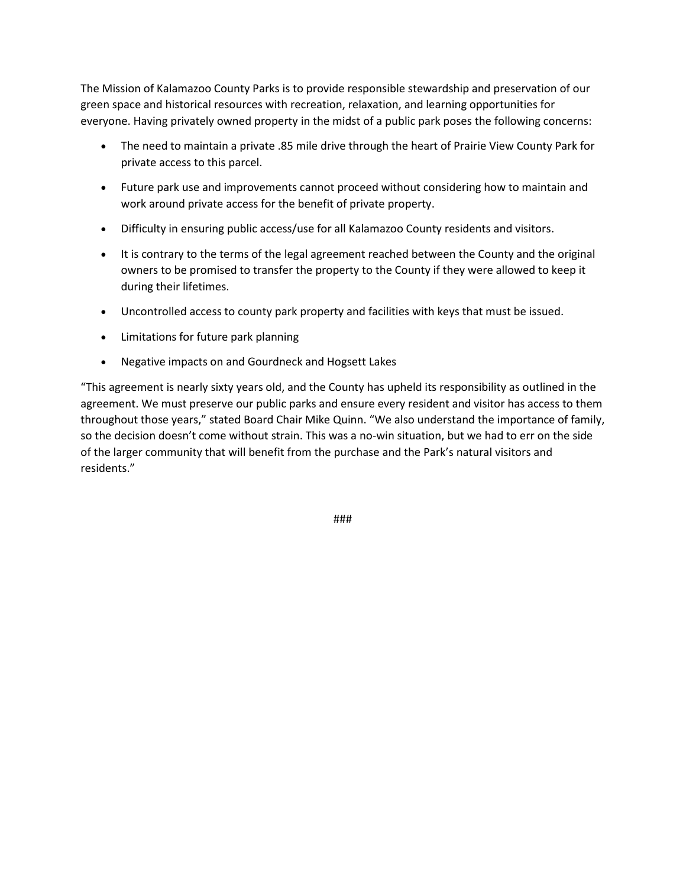The Mission of Kalamazoo County Parks is to provide responsible stewardship and preservation of our green space and historical resources with recreation, relaxation, and learning opportunities for everyone. Having privately owned property in the midst of a public park poses the following concerns:

- The need to maintain a private .85 mile drive through the heart of Prairie View County Park for private access to this parcel.
- Future park use and improvements cannot proceed without considering how to maintain and work around private access for the benefit of private property.
- Difficulty in ensuring public access/use for all Kalamazoo County residents and visitors.
- It is contrary to the terms of the legal agreement reached between the County and the original owners to be promised to transfer the property to the County if they were allowed to keep it during their lifetimes.
- Uncontrolled access to county park property and facilities with keys that must be issued.
- Limitations for future park planning
- Negative impacts on and Gourdneck and Hogsett Lakes

"This agreement is nearly sixty years old, and the County has upheld its responsibility as outlined in the agreement. We must preserve our public parks and ensure every resident and visitor has access to them throughout those years," stated Board Chair Mike Quinn. "We also understand the importance of family, so the decision doesn't come without strain. This was a no-win situation, but we had to err on the side of the larger community that will benefit from the purchase and the Park's natural visitors and residents."

###